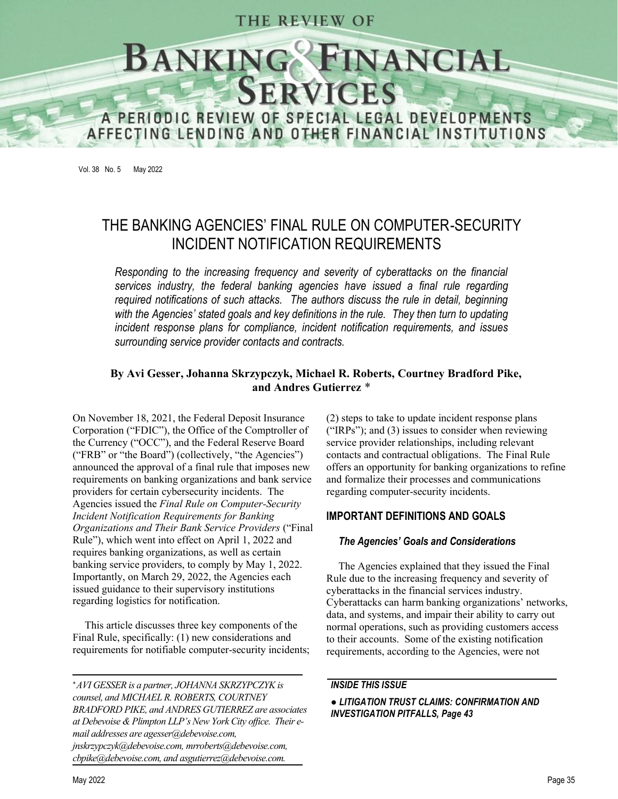# THE REVIEW OF



Vol. 38 No. 5 May 2022

# THE BANKING AGENCIES' FINAL RULE ON COMPUTER-SECURITY INCIDENT NOTIFICATION REQUIREMENTS

Responding to the increasing frequency and severity of cyberattacks on the financial services industry, the federal banking agencies have issued a final rule regarding required notifications of such attacks. The authors discuss the rule in detail, beginning with the Agencies' stated goals and key definitions in the rule. They then turn to updating incident response plans for compliance, incident notification requirements, and issues surrounding service provider contacts and contracts.

### By Avi Gesser, Johanna Skrzypczyk, Michael R. Roberts, Courtney Bradford Pike, and Andres Gutierrez \*

On November 18, 2021, the Federal Deposit Insurance Corporation ("FDIC"), the Office of the Comptroller of the Currency ("OCC"), and the Federal Reserve Board ("FRB" or "the Board") (collectively, "the Agencies") announced the approval of a final rule that imposes new requirements on banking organizations and bank service providers for certain cybersecurity incidents. The Agencies issued the Final Rule on Computer-Security Incident Notification Requirements for Banking Organizations and Their Bank Service Providers Rule"), which went into effect on April 1, 2022 and requires banking organizations, as well as certain banking service providers, to comply by May 1, 2022. Importantly, on March 29, 2022, the Agencies each issued guidance to their supervisory institutions regarding logistics for notification.

This article discusses three key components of the Final Rule, specifically: (1) new considerations and requirements for notifiable computer-security incidents;

AVI GESSER is a partner, JOHANNA SKRZYPCZYK is counsel, and MICHAEL R. ROBERTS, COURTNEY BRADFORD PIKE, and ANDRES GUTIERREZ are associates at Debevoise & Plimpton LLP's New York City office. Their email addresses are agesser@debevoise.com, jnskrzypczyk@debevoise.com, mrroberts@debevoise.com, cbpike@debevoise.com, and asgutierrez@debevoise.com.

(2) steps to take to update incident response plans ("IRPs"); and  $(3)$  issues to consider when reviewing service provider relationships, including relevant contacts and contractual obligations. The Final Rule offers an opportunity for banking organizations to refine and formalize their processes and communications regarding computer-security incidents.

#### IMPORTANT DEFINITIONS AND GOALS

#### The Agencies' Goals and Considerations

The Agencies explained that they issued the Final Rule due to the increasing frequency and severity of cyberattacks in the financial services industry. Cyberattacks can harm banking organizations' networks, data, and systems, and impair their ability to carry out normal operations, such as providing customers access to their accounts. Some of the existing notification requirements, according to the Agencies, were not

#### INSIDE THIS ISSUE

#### LITIGATION TRUST CLAIMS: CONFIRMATION AND INVESTIGATION PITFALLS, Page 43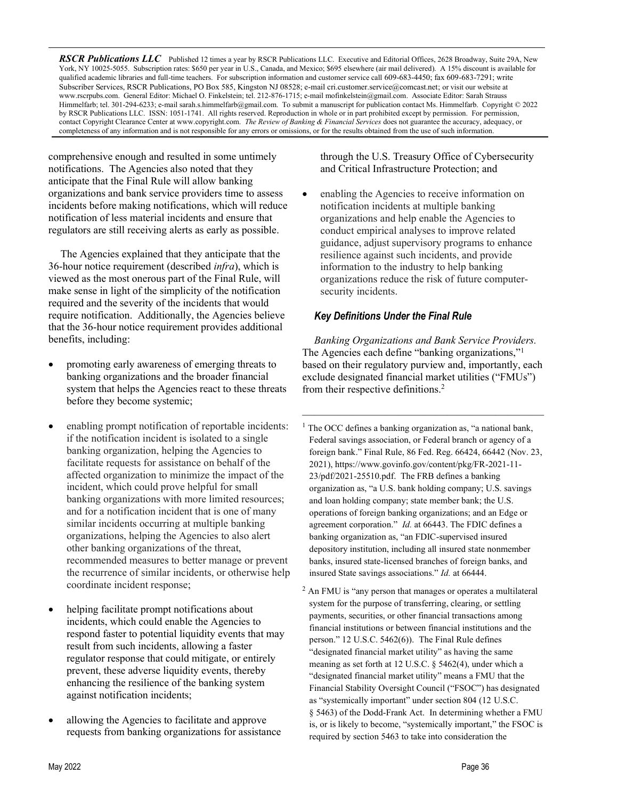RSCR Publications LLC Published 12 times a year by RSCR Publications LLC. Executive and Editorial Offices, 2628 Broadway, Suite 29A, New York, NY 10025-5055. Subscription rates: \$650 per year in U.S., Canada, and Mexico; \$695 elsewhere (air mail delivered). A 15% discount is available for qualified academic libraries and full-time teachers. For subscription information and customer service call 609-683-4450; fax 609-683-7291; write Subscriber Services, RSCR Publications, PO Box 585, Kingston NJ 08528; e-mail cri.customer.service@comcast.net; or visit our website at www.rscrpubs.com. General Editor: Michael O. Finkelstein; tel. 212-876-1715; e-mail mofinkelstein@gmail.com. Associate Editor: Sarah Strauss Himmelfarb; tel. 301-294-6233; e-mail sarah.s.himmelfarb@gmail.com. To submit a manuscript for publication contact Ms. Himmelfarb. Copyright © 2022 by RSCR Publications LLC. ISSN: 1051-1741. All rights reserved. Reproduction in whole or in part prohibited except by permission. For permission, contact Copyright Clearance Center at www.copyright.com. The Review of Banking & Financial Services does not guarantee the accuracy, adequacy, or completeness of any information and is not responsible for any errors or omissions, or for the results obtained from the use of such information.

comprehensive enough and resulted in some untimely notifications. The Agencies also noted that they anticipate that the Final Rule will allow banking organizations and bank service providers time to assess incidents before making notifications, which will reduce notification of less material incidents and ensure that regulators are still receiving alerts as early as possible.

The Agencies explained that they anticipate that the 36-hour notice requirement (described infra), which is viewed as the most onerous part of the Final Rule, will make sense in light of the simplicity of the notification required and the severity of the incidents that would require notification. Additionally, the Agencies believe that the 36-hour notice requirement provides additional benefits, including:

- promoting early awareness of emerging threats to banking organizations and the broader financial system that helps the Agencies react to these threats before they become systemic;
- enabling prompt notification of reportable incidents: if the notification incident is isolated to a single banking organization, helping the Agencies to facilitate requests for assistance on behalf of the affected organization to minimize the impact of the incident, which could prove helpful for small banking organizations with more limited resources; and for a notification incident that is one of many similar incidents occurring at multiple banking organizations, helping the Agencies to also alert other banking organizations of the threat, recommended measures to better manage or prevent the recurrence of similar incidents, or otherwise help coordinate incident response;
- helping facilitate prompt notifications about incidents, which could enable the Agencies to respond faster to potential liquidity events that may result from such incidents, allowing a faster regulator response that could mitigate, or entirely prevent, these adverse liquidity events, thereby enhancing the resilience of the banking system against notification incidents;
- allowing the Agencies to facilitate and approve requests from banking organizations for assistance

through the U.S. Treasury Office of Cybersecurity and Critical Infrastructure Protection; and

 enabling the Agencies to receive information on notification incidents at multiple banking organizations and help enable the Agencies to conduct empirical analyses to improve related guidance, adjust supervisory programs to enhance resilience against such incidents, and provide information to the industry to help banking organizations reduce the risk of future computersecurity incidents.

#### Key Definitions Under the Final Rule

Banking Organizations and Bank Service Providers. The Agencies each define "banking organizations,"<sup>1</sup> based on their regulatory purview and, importantly, each exclude designated financial market utilities ("FMUs") from their respective definitions.<sup>2</sup>

<sup>1</sup> The OCC defines a banking organization as, "a national bank, Federal savings association, or Federal branch or agency of a foreign bank." Final Rule, 86 Fed. Reg. 66424, 66442 (Nov. 23, 2021), https://www.govinfo.gov/content/pkg/FR-2021-11- 23/pdf/2021-25510.pdf. The FRB defines a banking organization as, "a U.S. bank holding company; U.S. savings and loan holding company; state member bank; the U.S. operations of foreign banking organizations; and an Edge or agreement corporation." *Id.* at 66443. The FDIC defines a banking organization as, "an FDIC-supervised insured depository institution, including all insured state nonmember banks, insured state-licensed branches of foreign banks, and insured State savings associations." Id. at 66444.

 $2$  An FMU is "any person that manages or operates a multilateral system for the purpose of transferring, clearing, or settling payments, securities, or other financial transactions among financial institutions or between financial institutions and the person."  $12$  U.S.C.  $5462(6)$ ). The Final Rule defines "designated financial market utility" as having the same meaning as set forth at 12 U.S.C. § 5462(4), under which a "designated financial market utility" means a FMU that the Financial Stability Oversight Council ("FSOC") has designated as "systemically important" under section 804 (12 U.S.C. § 5463) of the Dodd-Frank Act. In determining whether a FMU is, or is likely to become, "systemically important," the FSOC is required by section 5463 to take into consideration the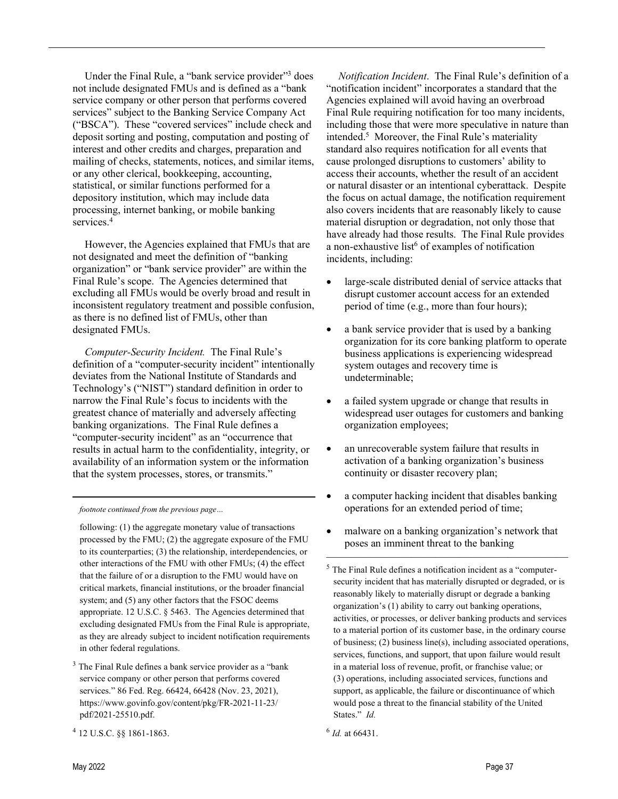Under the Final Rule, a "bank service provider"<sup>3</sup> does not include designated FMUs and is defined as service company or other person that performs covered services" subject to the Banking Service Company Act ("BSCA"). These "covered services" include check and deposit sorting and posting, computation and posting of interest and other credits and charges, preparation and mailing of checks, statements, notices, and similar items, or any other clerical, bookkeeping, accounting, statistical, or similar functions performed for a depository institution, which may include data processing, internet banking, or mobile banking services.<sup>4</sup>

However, the Agencies explained that FMUs that are not designated and meet the definition of "banking" organization" or "bank service provider" are within the Final Rule's scope. The Agencies determined that excluding all FMUs would be overly broad and result in inconsistent regulatory treatment and possible confusion, as there is no defined list of FMUs, other than designated FMUs.

Computer-Security Incident. The Final Rule's definition of a "computer-security incident" intentionally deviates from the National Institute of Standards and Technology's ("NIST") standard definition in order to narrow the Final Rule's focus to incidents with the greatest chance of materially and adversely affecting banking organizations. The Final Rule defines a "computer-security incident" as an "occurrence that results in actual harm to the confidentiality, integrity, or availability of an information system or the information that the system processes, stores, or transmits."

footnote continued from the previous page…

 following: (1) the aggregate monetary value of transactions processed by the FMU; (2) the aggregate exposure of the FMU to its counterparties; (3) the relationship, interdependencies, or other interactions of the FMU with other FMUs; (4) the effect that the failure of or a disruption to the FMU would have on critical markets, financial institutions, or the broader financial system; and (5) any other factors that the FSOC deems appropriate. 12 U.S.C. § 5463. The Agencies determined that excluding designated FMUs from the Final Rule is appropriate, as they are already subject to incident notification requirements in other federal regulations.

- <sup>3</sup> The Final Rule defines a bank service provider as a "bank" service company or other person that performs covered services." 86 Fed. Reg. 66424, 66428 (Nov. 23, 2021), https://www.govinfo.gov/content/pkg/FR-2021-11-23/ pdf/2021-25510.pdf.
- <sup>4</sup> 12 U.S.C. §§ 1861-1863.

Notification Incident. The Final Rule's definition of a "notification incident" incorporates a standard that the Agencies explained will avoid having an overbroad Final Rule requiring notification for too many incidents, including those that were more speculative in nature than intended.<sup>5</sup> Moreover, the Final Rule's materiality standard also requires notification for all events that cause prolonged disruptions to customers' ability to access their accounts, whether the result of an accident or natural disaster or an intentional cyberattack. Despite the focus on actual damage, the notification requirement also covers incidents that are reasonably likely to cause material disruption or degradation, not only those that have already had those results. The Final Rule provides a non-exhaustive list<sup>6</sup> of examples of notification incidents, including:

- large-scale distributed denial of service attacks that disrupt customer account access for an extended period of time (e.g., more than four hours);
- a bank service provider that is used by a banking organization for its core banking platform to operate business applications is experiencing widespread system outages and recovery time is undeterminable;
- a failed system upgrade or change that results in widespread user outages for customers and banking organization employees;
- an unrecoverable system failure that results in activation of a banking organization's business continuity or disaster recovery plan;
- a computer hacking incident that disables banking operations for an extended period of time;
- malware on a banking organization's network that poses an imminent threat to the banking

 $6$  *Id.* at 66431.

 $5$  The Final Rule defines a notification incident as a "computersecurity incident that has materially disrupted or degraded, or is reasonably likely to materially disrupt or degrade a banking organization's (1) ability to carry out banking operations, activities, or processes, or deliver banking products and services to a material portion of its customer base, in the ordinary course of business; (2) business line(s), including associated operations, services, functions, and support, that upon failure would result in a material loss of revenue, profit, or franchise value; or (3) operations, including associated services, functions and support, as applicable, the failure or discontinuance of which would pose a threat to the financial stability of the United States." Id.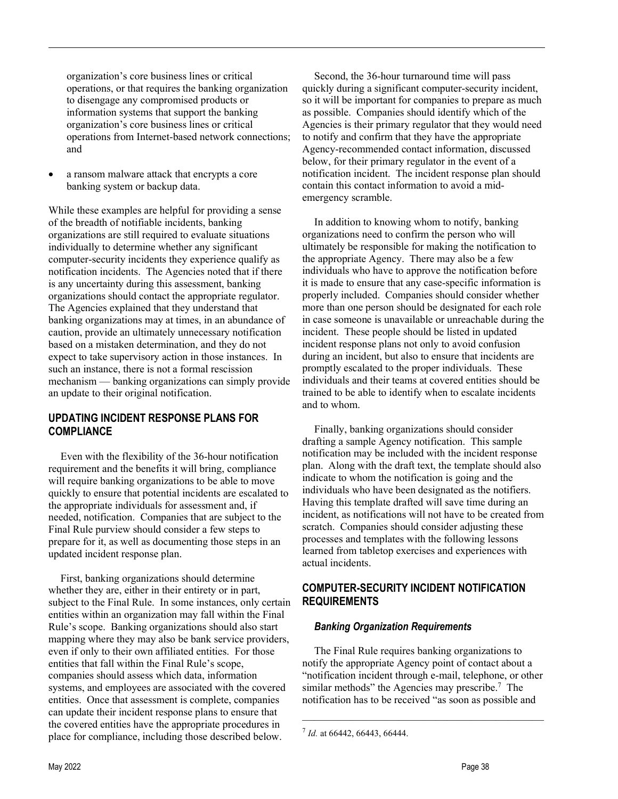organization's core business lines or critical operations, or that requires the banking organization to disengage any compromised products or information systems that support the banking organization's core business lines or critical operations from Internet-based network connections; and

 a ransom malware attack that encrypts a core banking system or backup data.

While these examples are helpful for providing a sense of the breadth of notifiable incidents, banking organizations are still required to evaluate situations individually to determine whether any significant computer-security incidents they experience qualify as notification incidents. The Agencies noted that if there is any uncertainty during this assessment, banking organizations should contact the appropriate regulator. The Agencies explained that they understand that banking organizations may at times, in an abundance of caution, provide an ultimately unnecessary notification based on a mistaken determination, and they do not expect to take supervisory action in those instances. In such an instance, there is not a formal rescission mechanism — banking organizations can simply provide an update to their original notification.

#### UPDATING INCIDENT RESPONSE PLANS FOR **COMPLIANCE**

Even with the flexibility of the 36-hour notification requirement and the benefits it will bring, compliance will require banking organizations to be able to move quickly to ensure that potential incidents are escalated to the appropriate individuals for assessment and, if needed, notification. Companies that are subject to the Final Rule purview should consider a few steps to prepare for it, as well as documenting those steps in an updated incident response plan.

First, banking organizations should determine whether they are, either in their entirety or in part, subject to the Final Rule. In some instances, only certain entities within an organization may fall within the Final Rule's scope. Banking organizations should also start mapping where they may also be bank service providers, even if only to their own affiliated entities. For those entities that fall within the Final Rule's scope, companies should assess which data, information systems, and employees are associated with the covered entities. Once that assessment is complete, companies can update their incident response plans to ensure that the covered entities have the appropriate procedures in place for compliance, including those described below.

Second, the 36-hour turnaround time will pass quickly during a significant computer-security incident, so it will be important for companies to prepare as much as possible. Companies should identify which of the Agencies is their primary regulator that they would need to notify and confirm that they have the appropriate Agency-recommended contact information, discussed below, for their primary regulator in the event of a notification incident. The incident response plan should contain this contact information to avoid a midemergency scramble.

In addition to knowing whom to notify, banking organizations need to confirm the person who will ultimately be responsible for making the notification to the appropriate Agency. There may also be a few individuals who have to approve the notification before it is made to ensure that any case-specific information is properly included. Companies should consider whether more than one person should be designated for each role in case someone is unavailable or unreachable during the incident. These people should be listed in updated incident response plans not only to avoid confusion during an incident, but also to ensure that incidents are promptly escalated to the proper individuals. These individuals and their teams at covered entities should be trained to be able to identify when to escalate incidents and to whom.

Finally, banking organizations should consider drafting a sample Agency notification. This sample notification may be included with the incident response plan. Along with the draft text, the template should also indicate to whom the notification is going and the individuals who have been designated as the notifiers. Having this template drafted will save time during an incident, as notifications will not have to be created from scratch. Companies should consider adjusting these processes and templates with the following lessons learned from tabletop exercises and experiences with actual incidents.

## COMPUTER-SECURITY INCIDENT NOTIFICATION REQUIREMENTS

#### Banking Organization Requirements

The Final Rule requires banking organizations to notify the appropriate Agency point of contact about a notification incident through e-mail, telephone, or other similar methods" the Agencies may prescribe. $7$  The notification has to be received "as soon as possible and

 $^{7}$  Id. at 66442, 66443, 66444.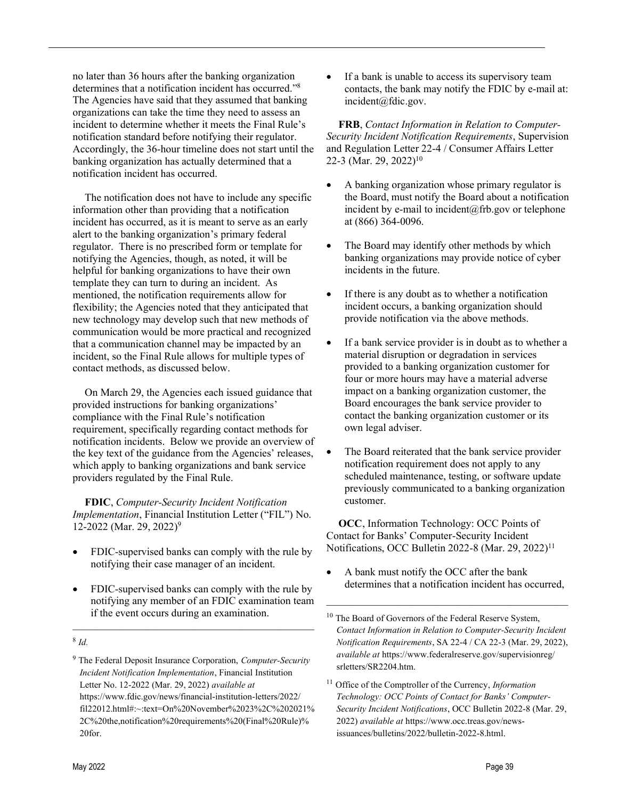no later than 36 hours after the banking organization determines that a notification incident has occurred."<sup>8</sup> The Agencies have said that they assumed that banking organizations can take the time they need to assess an incident to determine whether it meets the Final Rule's notification standard before notifying their regulator. Accordingly, the 36-hour timeline does not start until the banking organization has actually determined that a notification incident has occurred.

The notification does not have to include any specific information other than providing that a notification incident has occurred, as it is meant to serve as an early alert to the banking organization's primary federal regulator. There is no prescribed form or template for notifying the Agencies, though, as noted, it will be helpful for banking organizations to have their own template they can turn to during an incident. As mentioned, the notification requirements allow for flexibility; the Agencies noted that they anticipated that new technology may develop such that new methods of communication would be more practical and recognized that a communication channel may be impacted by an incident, so the Final Rule allows for multiple types of contact methods, as discussed below.

On March 29, the Agencies each issued guidance that provided instructions for banking organizations' compliance with the Final Rule's notification requirement, specifically regarding contact methods for notification incidents. Below we provide an overview of the key text of the guidance from the Agencies' releases, which apply to banking organizations and bank service providers regulated by the Final Rule.

FDIC, Computer-Security Incident Notification Implementation, Financial Institution Letter ("FIL") No. 12-2022 (Mar. 29, 2022)<sup>9</sup>

- FDIC-supervised banks can comply with the rule by notifying their case manager of an incident.
- FDIC-supervised banks can comply with the rule by notifying any member of an FDIC examination team if the event occurs during an examination.

 If a bank is unable to access its supervisory team contacts, the bank may notify the FDIC by e-mail at: incident@fdic.gov.

FRB, Contact Information in Relation to Computer-Security Incident Notification Requirements, Supervision and Regulation Letter 22-4 / Consumer Affairs Letter 22-3 (Mar. 29, 2022)<sup>10</sup>

- A banking organization whose primary regulator is the Board, must notify the Board about a notification incident by e-mail to incident@frb.gov or telephone at (866) 364-0096.
- The Board may identify other methods by which banking organizations may provide notice of cyber incidents in the future.
- If there is any doubt as to whether a notification incident occurs, a banking organization should provide notification via the above methods.
- If a bank service provider is in doubt as to whether a material disruption or degradation in services provided to a banking organization customer for four or more hours may have a material adverse impact on a banking organization customer, the Board encourages the bank service provider to contact the banking organization customer or its own legal adviser.
- The Board reiterated that the bank service provider notification requirement does not apply to any scheduled maintenance, testing, or software update previously communicated to a banking organization customer.

OCC, Information Technology: OCC Points of Contact for Banks' Computer-Security Incident Notifications, OCC Bulletin 2022-8 (Mar. 29, 2022)<sup>11</sup>

 A bank must notify the OCC after the bank determines that a notification incident has occurred,

 $11$  Office of the Comptroller of the Currency, *Information* Technology: OCC Points of Contact for Banks' Computer-Security Incident Notifications, OCC Bulletin 2022-8 (Mar. 29, 2022) available at https://www.occ.treas.gov/newsissuances/bulletins/2022/bulletin-2022-8.html.

 $8$  Id.

<sup>&</sup>lt;sup>9</sup> The Federal Deposit Insurance Corporation, Computer-Security Incident Notification Implementation, Financial Institution Letter No. 12-2022 (Mar. 29, 2022) available at https://www.fdic.gov/news/financial-institution-letters/2022/ fil22012.html#:~:text=On%20November%2023%2C%202021% 2C%20the,notification%20requirements%20(Final%20Rule)% 20for.

<sup>&</sup>lt;sup>10</sup> The Board of Governors of the Federal Reserve System, Contact Information in Relation to Computer-Security Incident Notification Requirements, SA 22-4 / CA 22-3 (Mar. 29, 2022), available at https://www.federalreserve.gov/supervisionreg/ srletters/SR2204.htm.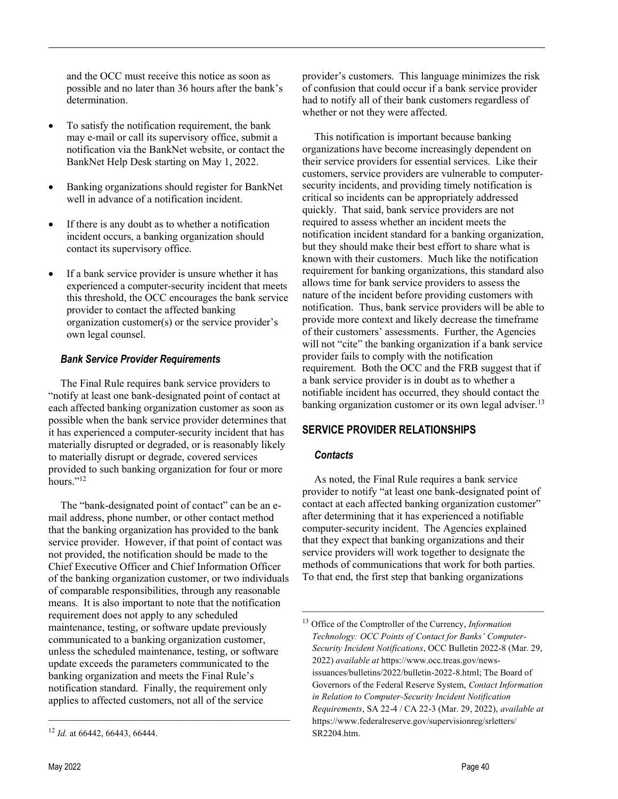and the OCC must receive this notice as soon as possible and no later than 36 hours after the bank's determination.

- To satisfy the notification requirement, the bank may e-mail or call its supervisory office, submit a notification via the BankNet website, or contact the BankNet Help Desk starting on May 1, 2022.
- Banking organizations should register for BankNet well in advance of a notification incident.
- If there is any doubt as to whether a notification incident occurs, a banking organization should contact its supervisory office.
- If a bank service provider is unsure whether it has experienced a computer-security incident that meets this threshold, the OCC encourages the bank service provider to contact the affected banking organization customer(s) or the service provider's own legal counsel.

#### Bank Service Provider Requirements

The Final Rule requires bank service providers to "notify at least one bank-designated point of contact at each affected banking organization customer as soon as possible when the bank service provider determines that it has experienced a computer-security incident that has materially disrupted or degraded, or is reasonably likely to materially disrupt or degrade, covered services provided to such banking organization for four or more hours."<sup>12</sup>

The "bank-designated point of contact" can be an email address, phone number, or other contact method that the banking organization has provided to the bank service provider. However, if that point of contact was not provided, the notification should be made to the Chief Executive Officer and Chief Information Officer of the banking organization customer, or two individuals of comparable responsibilities, through any reasonable means. It is also important to note that the notification requirement does not apply to any scheduled maintenance, testing, or software update previously communicated to a banking organization customer, unless the scheduled maintenance, testing, or software update exceeds the parameters communicated to the banking organization and meets the Final Rule's notification standard. Finally, the requirement only applies to affected customers, not all of the service

provider's customers. This language minimizes the risk of confusion that could occur if a bank service provider had to notify all of their bank customers regardless of whether or not they were affected.

This notification is important because banking organizations have become increasingly dependent on their service providers for essential services. Like their customers, service providers are vulnerable to computersecurity incidents, and providing timely notification is critical so incidents can be appropriately addressed quickly. That said, bank service providers are not required to assess whether an incident meets the notification incident standard for a banking organization, but they should make their best effort to share what is known with their customers. Much like the notification requirement for banking organizations, this standard also allows time for bank service providers to assess the nature of the incident before providing customers with notification. Thus, bank service providers will be able to provide more context and likely decrease the timeframe of their customers' assessments. Further, the Agencies will not "cite" the banking organization if a bank service provider fails to comply with the notification requirement. Both the OCC and the FRB suggest that if a bank service provider is in doubt as to whether a notifiable incident has occurred, they should contact the banking organization customer or its own legal adviser.<sup>13</sup>

# SERVICE PROVIDER RELATIONSHIPS

## **Contacts**

As noted, the Final Rule requires a bank service provider to notify "at least one bank-designated point of contact at each affected banking organization customer" after determining that it has experienced a notifiable computer-security incident. The Agencies explained that they expect that banking organizations and their service providers will work together to designate the methods of communications that work for both parties. To that end, the first step that banking organizations

<sup>&</sup>lt;sup>12</sup> Id. at 66442, 66443, 66444.

<sup>&</sup>lt;sup>13</sup> Office of the Comptroller of the Currency, Information Technology: OCC Points of Contact for Banks' Computer-Security Incident Notifications, OCC Bulletin 2022-8 (Mar. 29, 2022) available at https://www.occ.treas.gov/newsissuances/bulletins/2022/bulletin-2022-8.html; The Board of Governors of the Federal Reserve System, Contact Information in Relation to Computer-Security Incident Notification Requirements, SA 22-4 / CA 22-3 (Mar. 29, 2022), available at https://www.federalreserve.gov/supervisionreg/srletters/ SR2204.htm.